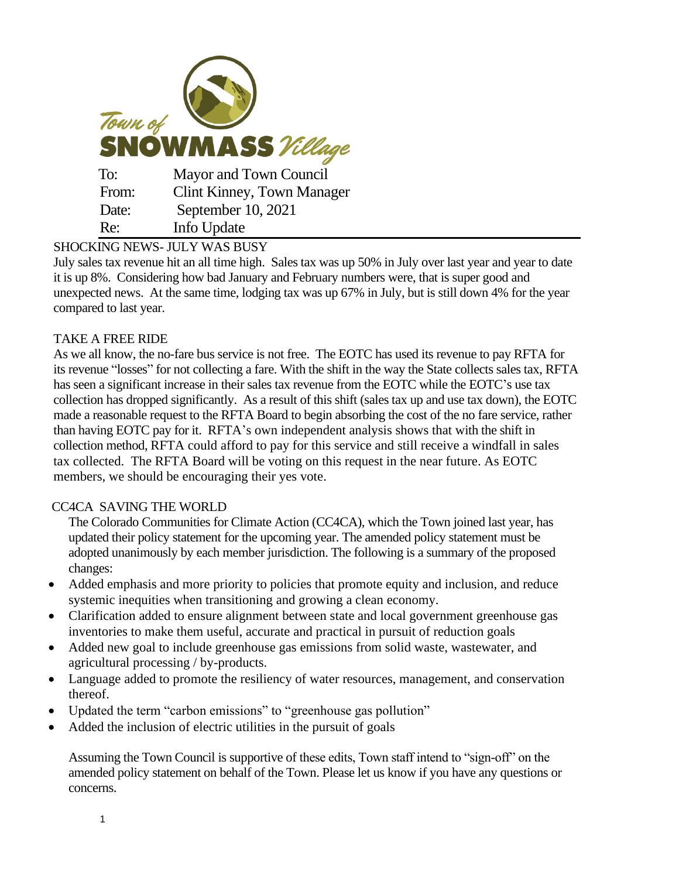| Town of<br><b>SNOWMASS</b> Village |                                   |
|------------------------------------|-----------------------------------|
| To:                                | Mayor and Town Council            |
| From:                              | <b>Clint Kinney, Town Manager</b> |
| Date:                              | September 10, 2021                |
| Re:                                | Info Update                       |

# SHOCKING NEWS- JULY WAS BUSY

July sales tax revenue hit an all time high. Sales tax was up 50% in July over last year and year to date it is up 8%. Considering how bad January and February numbers were, that is super good and unexpected news. At the same time, lodging tax was up 67% in July, but is still down 4% for the year compared to last year.

### TAKE A FREE RIDE

As we all know, the no-fare bus service is not free. The EOTC has used its revenue to pay RFTA for its revenue "losses" for not collecting a fare. With the shift in the way the State collects sales tax, RFTA has seen a significant increase in their sales tax revenue from the EOTC while the EOTC's use tax collection has dropped significantly. As a result of this shift (sales tax up and use tax down), the EOTC made a reasonable request to the RFTA Board to begin absorbing the cost of the no fare service, rather than having EOTC pay for it. RFTA's own independent analysis shows that with the shift in collection method, RFTA could afford to pay for this service and still receive a windfall in sales tax collected. The RFTA Board will be voting on this request in the near future. As EOTC members, we should be encouraging their yes vote.

#### CC4CA SAVING THE WORLD

The Colorado Communities for Climate Action (CC4CA), which the Town joined last year, has updated their policy statement for the upcoming year. The amended policy statement must be adopted unanimously by each member jurisdiction. The following is a summary of the proposed changes:

- Added emphasis and more priority to policies that promote equity and inclusion, and reduce systemic inequities when transitioning and growing a clean economy.
- Clarification added to ensure alignment between state and local government greenhouse gas inventories to make them useful, accurate and practical in pursuit of reduction goals
- Added new goal to include greenhouse gas emissions from solid waste, wastewater, and agricultural processing / by-products.
- Language added to promote the resiliency of water resources, management, and conservation thereof.
- Updated the term "carbon emissions" to "greenhouse gas pollution"
- Added the inclusion of electric utilities in the pursuit of goals

Assuming the Town Council is supportive of these edits, Town staff intend to "sign-off" on the amended policy statement on behalf of the Town. Please let us know if you have any questions or concerns.